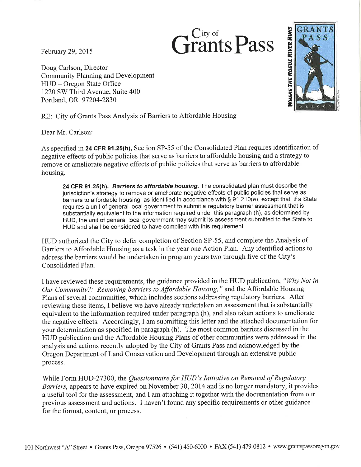February 29, 2015

Doug Carlson, Director **Community Planning and Development** HUD – Oregon State Office 1220 SW Third Avenue, Suite 400 Portland, OR 97204-2830



RE: City of Grants Pass Analysis of Barriers to Affordable Housing

Dear Mr. Carlson:

As specified in 24 CFR 91.25(h), Section SP-55 of the Consolidated Plan requires identification of negative effects of public policies that serve as barriers to affordable housing and a strategy to remove or ameliorate negative effects of public policies that serve as barriers to affordable housing.

Trants Pass

24 CFR 91.25(h). Barriers to affordable housing. The consolidated plan must describe the jurisdiction's strategy to remove or ameliorate negative effects of public policies that serve as barriers to affordable housing, as identified in accordance with § 91.210(e), except that, if a State requires a unit of general local government to submit a regulatory barrier assessment that is substantially equivalent to the information required under this paragraph (h), as determined by HUD, the unit of general local government may submit its assessment submitted to the State to HUD and shall be considered to have complied with this requirement.

HUD authorized the City to defer completion of Section SP-55, and complete the Analysis of Barriers to Affordable Housing as a task in the year one Action Plan. Any identified actions to address the barriers would be undertaken in program years two through five of the City's Consolidated Plan.

I have reviewed these requirements, the guidance provided in the HUD publication, "Why Not in Our Community?: Removing barriers to Affordable Housing," and the Affordable Housing Plans of several communities, which includes sections addressing regulatory barriers. After reviewing these items, I believe we have already undertaken an assessment that is substantially equivalent to the information required under paragraph (h), and also taken actions to ameliorate the negative effects. Accordingly, I am submitting this letter and the attached documentation for your determination as specified in paragraph (h). The most common barriers discussed in the HUD publication and the Affordable Housing Plans of other communities were addressed in the analysis and actions recently adopted by the City of Grants Pass and acknowledged by the Oregon Department of Land Conservation and Development through an extensive public process.

While Form HUD-27300, the Questionnaire for HUD's Initiative on Removal of Regulatory Barriers, appears to have expired on November 30, 2014 and is no longer mandatory, it provides a useful tool for the assessment, and I am attaching it together with the documentation from our previous assessment and actions. I haven't found any specific requirements or other guidance for the format, content, or process.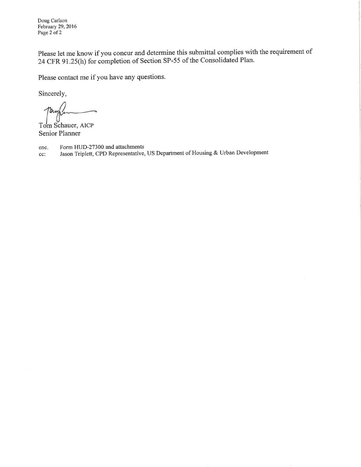Doug Carlson February 29, 2016 Page 2 of 2

Please let me know if you concur and determine this submittal complies with the requirement of 24 CFR 91.25(h) for completion of Section SP-55 of the Consolidated Plan.

Please contact me if you have any questions.

Sincerely,

ъ.

Tom Schauer, AICP **Senior Planner** 

Form HUD-27300 and attachments enc.

Jason Triplett, CPD Representative, US Department of Housing & Urban Development cc: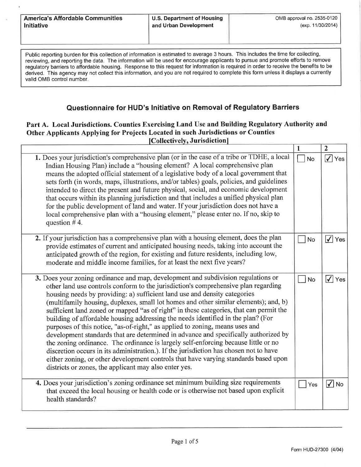|                   | <b>America's Affordable Communities</b> |
|-------------------|-----------------------------------------|
| <b>Initiative</b> |                                         |

Public reporting burden for this collection of information is estimated to average 3 hours. This includes the time for collecting, reviewing, and reporting the data. The information will be used for encourage applicants to pursue and promote efforts to remove regulatory barriers to affordable housing. Response to this request for information is required in order to receive the benefits to be derived. This agency may not collect this information, and you are not required to complete this form unless it displays a currently valid OMB control number.

# Questionnaire for HUD's Initiative on Removal of Regulatory Barriers

#### Part A. Local Jurisdictions. Counties Exercising Land Use and Building Regulatory Authority and Other Applicants Applying for Projects Located in such Jurisdictions or Counties [Collectively, Jurisdiction]

|                                                                                                                                                                                                                                                                                                                                                                                                                                                                                                                                                                                                                                                                                                                                                                                                                                                                                                                                                                                                                                  | H         | $\mathbf{z}$                   |
|----------------------------------------------------------------------------------------------------------------------------------------------------------------------------------------------------------------------------------------------------------------------------------------------------------------------------------------------------------------------------------------------------------------------------------------------------------------------------------------------------------------------------------------------------------------------------------------------------------------------------------------------------------------------------------------------------------------------------------------------------------------------------------------------------------------------------------------------------------------------------------------------------------------------------------------------------------------------------------------------------------------------------------|-----------|--------------------------------|
| 1. Does your jurisdiction's comprehensive plan (or in the case of a tribe or TDHE, a local<br>Indian Housing Plan) include a "housing element? A local comprehensive plan<br>means the adopted official statement of a legislative body of a local government that<br>sets forth (in words, maps, illustrations, and/or tables) goals, policies, and guidelines<br>intended to direct the present and future physical, social, and economic development<br>that occurs within its planning jurisdiction and that includes a unified physical plan<br>for the public development of land and water. If your jurisdiction does not have a<br>local comprehensive plan with a "housing element," please enter no. If no, skip to<br>question $# 4$ .                                                                                                                                                                                                                                                                                | <b>No</b> | $\overline{\checkmark}$<br>Yes |
| 2. If your jurisdiction has a comprehensive plan with a housing element, does the plan<br>provide estimates of current and anticipated housing needs, taking into account the<br>anticipated growth of the region, for existing and future residents, including low,<br>moderate and middle income families, for at least the next five years?                                                                                                                                                                                                                                                                                                                                                                                                                                                                                                                                                                                                                                                                                   | No        | $\sqrt{}$ Yes                  |
| 3. Does your zoning ordinance and map, development and subdivision regulations or<br>other land use controls conform to the jurisdiction's comprehensive plan regarding<br>housing needs by providing: a) sufficient land use and density categories<br>(multifamily housing, duplexes, small lot homes and other similar elements); and, b)<br>sufficient land zoned or mapped "as of right" in these categories, that can permit the<br>building of affordable housing addressing the needs identified in the plan? (For<br>purposes of this notice, "as-of-right," as applied to zoning, means uses and<br>development standards that are determined in advance and specifically authorized by<br>the zoning ordinance. The ordinance is largely self-enforcing because little or no<br>discretion occurs in its administration.). If the jurisdiction has chosen not to have<br>either zoning, or other development controls that have varying standards based upon<br>districts or zones, the applicant may also enter yes. | <b>No</b> | $\sqrt{} $ Yes                 |
| 4. Does your jurisdiction's zoning ordinance set minimum building size requirements<br>that exceed the local housing or health code or is otherwise not based upon explicit<br>health standards?                                                                                                                                                                                                                                                                                                                                                                                                                                                                                                                                                                                                                                                                                                                                                                                                                                 | Yes       | $\sqrt{ }$ No                  |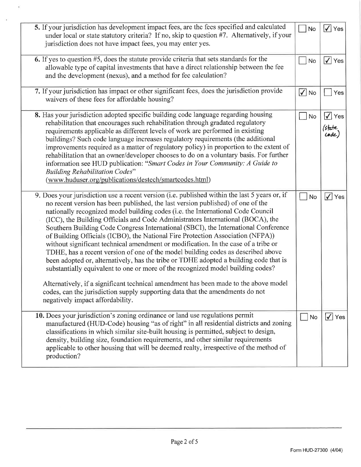| 5. If your jurisdiction has development impact fees, are the fees specified and calculated<br>under local or state statutory criteria? If no, skip to question #7. Alternatively, if your<br>jurisdiction does not have impact fees, you may enter yes.                                                                                                                                                                                                                                                                                                                                                                                                                                                                                                                                                                                                                                                                                                                                                                                                                                           | No                     | $\overline{\blacktriangledown}$<br>Yes |
|---------------------------------------------------------------------------------------------------------------------------------------------------------------------------------------------------------------------------------------------------------------------------------------------------------------------------------------------------------------------------------------------------------------------------------------------------------------------------------------------------------------------------------------------------------------------------------------------------------------------------------------------------------------------------------------------------------------------------------------------------------------------------------------------------------------------------------------------------------------------------------------------------------------------------------------------------------------------------------------------------------------------------------------------------------------------------------------------------|------------------------|----------------------------------------|
| 6. If yes to question #5, does the statute provide criteria that sets standards for the<br>allowable type of capital investments that have a direct relationship between the fee<br>and the development (nexus), and a method for fee calculation?                                                                                                                                                                                                                                                                                                                                                                                                                                                                                                                                                                                                                                                                                                                                                                                                                                                | No                     | $\sqrt{}$ Yes                          |
| 7. If your jurisdiction has impact or other significant fees, does the jurisdiction provide<br>waivers of these fees for affordable housing?                                                                                                                                                                                                                                                                                                                                                                                                                                                                                                                                                                                                                                                                                                                                                                                                                                                                                                                                                      | $\sqrt{}$<br><b>No</b> | Yes                                    |
| 8. Has your jurisdiction adopted specific building code language regarding housing<br>rehabilitation that encourages such rehabilitation through gradated regulatory<br>requirements applicable as different levels of work are performed in existing<br>buildings? Such code language increases regulatory requirements (the additional<br>improvements required as a matter of regulatory policy) in proportion to the extent of<br>rehabilitation that an owner/developer chooses to do on a voluntary basis. For further<br>information see HUD publication: "Smart Codes in Your Community: A Guide to<br><b>Building Rehabilitation Codes"</b><br>(www.huduser.org/publications/destech/smartcodes.html)                                                                                                                                                                                                                                                                                                                                                                                    | <b>No</b>              | $\sqrt{}$<br>Yes<br>(state<br>code)    |
| 9. Does your jurisdiction use a recent version (i.e. published within the last 5 years or, if<br>no recent version has been published, the last version published) of one of the<br>nationally recognized model building codes (i.e. the International Code Council<br>(ICC), the Building Officials and Code Administrators International (BOCA), the<br>Southern Building Code Congress International (SBCI), the International Conference<br>of Building Officials (ICBO), the National Fire Protection Association (NFPA))<br>without significant technical amendment or modification. In the case of a tribe or<br>TDHE, has a recent version of one of the model building codes as described above<br>been adopted or, alternatively, has the tribe or TDHE adopted a building code that is<br>substantially equivalent to one or more of the recognized model building codes?<br>Alternatively, if a significant technical amendment has been made to the above model<br>codes, can the jurisdiction supply supporting data that the amendments do not<br>negatively impact affordability. |                        | $\sqrt{}$ Yes                          |
| 10. Does your jurisdiction's zoning ordinance or land use regulations permit<br>manufactured (HUD-Code) housing "as of right" in all residential districts and zoning<br>classifications in which similar site-built housing is permitted, subject to design,<br>density, building size, foundation requirements, and other similar requirements<br>applicable to other housing that will be deemed realty, irrespective of the method of<br>production?                                                                                                                                                                                                                                                                                                                                                                                                                                                                                                                                                                                                                                          | No                     | $\sqrt{\ }$ Yes                        |

 $\overline{\mathbf{y}}$ 

 $\overline{\mathcal{M}}$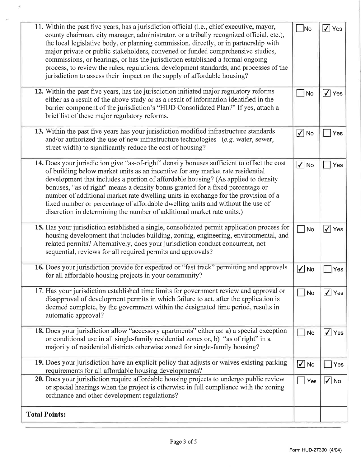| 11. Within the past five years, has a jurisdiction official (i.e., chief executive, mayor,<br>county chairman, city manager, administrator, or a tribally recognized official, etc.),<br>the local legislative body, or planning commission, directly, or in partnership with<br>major private or public stakeholders, convened or funded comprehensive studies,<br>commissions, or hearings, or has the jurisdiction established a formal ongoing<br>process, to review the rules, regulations, development standards, and processes of the<br>jurisdiction to assess their impact on the supply of affordable housing? | N <sub>o</sub> | $\vert\sqrt{\vert}$ Yes |
|--------------------------------------------------------------------------------------------------------------------------------------------------------------------------------------------------------------------------------------------------------------------------------------------------------------------------------------------------------------------------------------------------------------------------------------------------------------------------------------------------------------------------------------------------------------------------------------------------------------------------|----------------|-------------------------|
| 12. Within the past five years, has the jurisdiction initiated major regulatory reforms<br>either as a result of the above study or as a result of information identified in the<br>barrier component of the jurisdiction's "HUD Consolidated Plan?" If yes, attach a<br>brief list of these major regulatory reforms.                                                                                                                                                                                                                                                                                                   | No             | $\sqrt{\ }$ Yes         |
| 13. Within the past five years has your jurisdiction modified infrastructure standards<br>and/or authorized the use of new infrastructure technologies $(e.g.$ water, sewer,<br>street width) to significantly reduce the cost of housing?                                                                                                                                                                                                                                                                                                                                                                               | $\sqrt{ }$ No  | Yes                     |
| 14. Does your jurisdiction give "as-of-right" density bonuses sufficient to offset the cost<br>of building below market units as an incentive for any market rate residential<br>development that includes a portion of affordable housing? (As applied to density<br>bonuses, "as of right" means a density bonus granted for a fixed percentage or<br>number of additional market rate dwelling units in exchange for the provision of a<br>fixed number or percentage of affordable dwelling units and without the use of<br>discretion in determining the number of additional market rate units.)                   | $ \nabla $ No  | Yes                     |
| 15. Has your jurisdiction established a single, consolidated permit application process for<br>housing development that includes building, zoning, engineering, environmental, and<br>related permits? Alternatively, does your jurisdiction conduct concurrent, not<br>sequential, reviews for all required permits and approvals?                                                                                                                                                                                                                                                                                      | No             | $\sqrt{}$ Yes           |
| 16. Does your jurisdiction provide for expedited or "fast track" permitting and approvals<br>for all affordable housing projects in your community?                                                                                                                                                                                                                                                                                                                                                                                                                                                                      | $\sqrt{ }$ No  | Yes                     |
| 17. Has your jurisdiction established time limits for government review and approval or<br>disapproval of development permits in which failure to act, after the application is<br>deemed complete, by the government within the designated time period, results in<br>automatic approval?                                                                                                                                                                                                                                                                                                                               | <b>No</b>      | $\sqrt{ }$ Yes          |
| 18. Does your jurisdiction allow "accessory apartments" either as: a) a special exception<br>or conditional use in all single-family residential zones or, b) "as of right" in a<br>majority of residential districts otherwise zoned for single-family housing?                                                                                                                                                                                                                                                                                                                                                         | No             | $\sqrt{}$ Yes           |
| 19. Does your jurisdiction have an explicit policy that adjusts or waives existing parking<br>requirements for all affordable housing developments?                                                                                                                                                                                                                                                                                                                                                                                                                                                                      | $\sqrt{ }$ No  | Yes                     |
| 20. Does your jurisdiction require affordable housing projects to undergo public review<br>or special hearings when the project is otherwise in full compliance with the zoning<br>ordinance and other development regulations?                                                                                                                                                                                                                                                                                                                                                                                          | Yes            | $ \checkmark $ No       |
| <b>Total Points:</b>                                                                                                                                                                                                                                                                                                                                                                                                                                                                                                                                                                                                     |                |                         |

 $\hat{\mathbf{r}}$ 

 $\bar{\sigma}$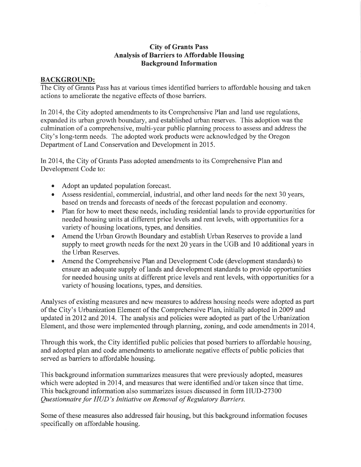#### **City of Grants Pass Analysis of Barriers to Affordable Housing Background Information**

## **BACKGROUND:**

The City of Grants Pass has at various times identified barriers to affordable housing and taken actions to ameliorate the negative effects of those barriers.

In 2014, the City adopted amendments to its Comprehensive Plan and land use regulations, expanded its urban growth boundary, and established urban reserves. This adoption was the culmination of a comprehensive, multi-year public planning process to assess and address the City's long-term needs. The adopted work products were acknowledged by the Oregon Department of Land Conservation and Development in 2015.

In 2014, the City of Grants Pass adopted amendments to its Comprehensive Plan and Development Code to:

- $\bullet$ Adopt an updated population forecast.
- Assess residential, commercial, industrial, and other land needs for the next 30 years, based on trends and forecasts of needs of the forecast population and economy.
- Plan for how to meet these needs, including residential lands to provide opportunities for  $\bullet$ needed housing units at different price levels and rent levels, with opportunities for a variety of housing locations, types, and densities.
- Amend the Urban Growth Boundary and establish Urban Reserves to provide a land  $\bullet$ supply to meet growth needs for the next 20 years in the UGB and 10 additional years in the Urban Reserves.
- Amend the Comprehensive Plan and Development Code (development standards) to  $\bullet$ ensure an adequate supply of lands and development standards to provide opportunities for needed housing units at different price levels and rent levels, with opportunities for a variety of housing locations, types, and densities.

Analyses of existing measures and new measures to address housing needs were adopted as part of the City's Urbanization Element of the Comprehensive Plan, initially adopted in 2009 and updated in 2012 and 2014. The analysis and policies were adopted as part of the Urbanization Element, and those were implemented through planning, zoning, and code amendments in 2014.

Through this work, the City identified public policies that posed barriers to affordable housing, and adopted plan and code amendments to ameliorate negative effects of public policies that served as barriers to affordable housing.

This background information summarizes measures that were previously adopted, measures which were adopted in 2014, and measures that were identified and/or taken since that time. This background information also summarizes issues discussed in form HUD-27300 Questionnaire for HUD's Initiative on Removal of Regulatory Barriers.

Some of these measures also addressed fair housing, but this background information focuses specifically on affordable housing.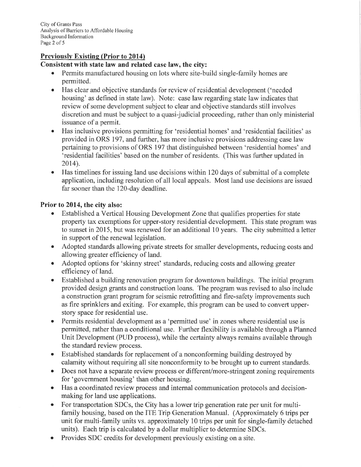## **Previously Existing (Prior to 2014)**

#### Consistent with state law and related case law, the city:

- Permits manufactured housing on lots where site-build single-family homes are  $\bullet$ permitted.
- Has clear and objective standards for review of residential development ('needed  $\bullet$ housing' as defined in state law). Note: case law regarding state law indicates that review of some development subject to clear and objective standards still involves discretion and must be subject to a quasi-judicial proceeding, rather than only ministerial issuance of a permit.
- Has inclusive provisions permitting for 'residential homes' and 'residential facilities' as  $\bullet$ provided in ORS 197, and further, has more inclusive provisions addressing case law pertaining to provisions of ORS 197 that distinguished between 'residential homes' and 'residential facilities' based on the number of residents. (This was further updated in 2014).
- Has timelines for issuing land use decisions within 120 days of submittal of a complete  $\bullet$ application, including resolution of all local appeals. Most land use decisions are issued far sooner than the 120-day deadline.

### Prior to 2014, the city also:

- Established a Vertical Housing Development Zone that qualifies properties for state property tax exemptions for upper-story residential development. This state program was to sunset in 2015, but was renewed for an additional 10 years. The city submitted a letter in support of the renewal legislation.
- Adopted standards allowing private streets for smaller developments, reducing costs and  $\bullet$ allowing greater efficiency of land.
- Adopted options for 'skinny street' standards, reducing costs and allowing greater efficiency of land.
- Established a building renovation program for downtown buildings. The initial program provided design grants and construction loans. The program was revised to also include a construction grant program for seismic retrofitting and fire-safety improvements such as fire sprinklers and exiting. For example, this program can be used to convert upperstory space for residential use.
- Permits residential development as a 'permitted use' in zones where residential use is  $\bullet$ permitted, rather than a conditional use. Further flexibility is available through a Planned Unit Development (PUD process), while the certainty always remains available through the standard review process.
- Established standards for replacement of a nonconforming building destroyed by  $\bullet$ calamity without requiring all site nonconformity to be brought up to current standards.
- Does not have a separate review process or different/more-stringent zoning requirements  $\bullet$ for 'government housing' than other housing.
- Has a coordinated review process and internal communication protocols and decisionmaking for land use applications.
- For transportation SDCs, the City has a lower trip generation rate per unit for multi- $\bullet$ family housing, based on the ITE Trip Generation Manual. (Approximately 6 trips per unit for multi-family units vs. approximately 10 trips per unit for single-family detached units). Each trip is calculated by a dollar multiplier to determine SDCs.
- Provides SDC credits for development previously existing on a site.  $\bullet$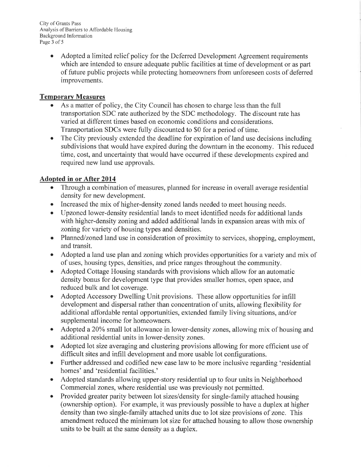City of Grants Pass Analysis of Barriers to Affordable Housing Background Information Page 3 of 5

> Adopted a limited relief policy for the Deferred Development Agreement requirements  $\bullet$ which are intended to ensure adequate public facilities at time of development or as part of future public projects while protecting homeowners from unforeseen costs of deferred improvements.

## **Temporary Measures**

- As a matter of policy, the City Council has chosen to charge less than the full transportation SDC rate authorized by the SDC methodology. The discount rate has varied at different times based on economic conditions and considerations. Transportation SDCs were fully discounted to \$0 for a period of time.
- The City previously extended the deadline for expiration of land use decisions including  $\bullet$ subdivisions that would have expired during the downturn in the economy. This reduced time, cost, and uncertainty that would have occurred if these developments expired and required new land use approvals.

# **Adopted in or After 2014**

- Through a combination of measures, planned for increase in overall average residential  $\bullet$ density for new development.
- Increased the mix of higher-density zoned lands needed to meet housing needs.  $\bullet$
- Upzoned lower-density residential lands to meet identified needs for additional lands  $\bullet$ with higher-density zoning and added additional lands in expansion areas with mix of zoning for variety of housing types and densities.
- Planned/zoned land use in consideration of proximity to services, shopping, employment, and transit.
- Adopted a land use plan and zoning which provides opportunities for a variety and mix of of uses, housing types, densities, and price ranges throughout the community.
- Adopted Cottage Housing standards with provisions which allow for an automatic  $\bullet$ density bonus for development type that provides smaller homes, open space, and reduced bulk and lot coverage.
- Adopted Accessory Dwelling Unit provisions. These allow opportunities for infill  $\bullet$ development and dispersal rather than concentration of units, allowing flexibility for additional affordable rental opportunities, extended family living situations, and/or supplemental income for homeowners.
- Adopted a 20% small lot allowance in lower-density zones, allowing mix of housing and  $\bullet$ additional residential units in lower-density zones.
- Adopted lot size averaging and clustering provisions allowing for more efficient use of  $\bullet$ difficult sites and infill development and more usable lot configurations.
- Further addressed and codified new case law to be more inclusive regarding 'residential homes' and 'residential facilities.'
- Adopted standards allowing upper-story residential up to four units in Neighborhood Commercial zones, where residential use was previously not permitted.
- Provided greater parity between lot sizes/density for single-family attached housing  $\bullet$ (ownership option). For example, it was previously possible to have a duplex at higher density than two single-family attached units due to lot size provisions of zone. This amendment reduced the minimum lot size for attached housing to allow those ownership units to be built at the same density as a duplex.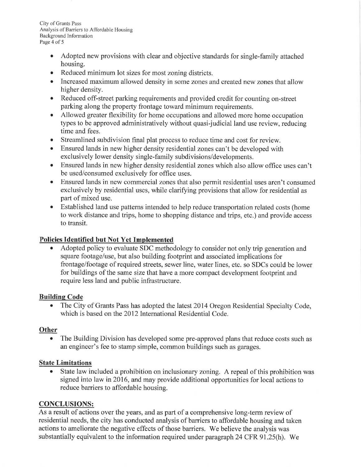City of Grants Pass Analysis of Barriers to Affordable Housing Background Information Page 4 of 5

- Adopted new provisions with clear and objective standards for single-family attached  $\bullet$ housing.
- Reduced minimum lot sizes for most zoning districts.  $\bullet$
- Increased maximum allowed density in some zones and created new zones that allow  $\bullet$ higher density.
- Reduced off-street parking requirements and provided credit for counting on-street  $\bullet$ parking along the property frontage toward minimum requirements.
- Allowed greater flexibility for home occupations and allowed more home occupation  $\bullet$ types to be approved administratively without quasi-judicial land use review, reducing time and fees.
- Streamlined subdivision final plat process to reduce time and cost for review.  $\bullet$
- Ensured lands in new higher density residential zones can't be developed with  $\bullet$ exclusively lower density single-family subdivisions/developments.
- Ensured lands in new higher density residential zones which also allow office uses can't  $\bullet$ be used/consumed exclusively for office uses.
- Ensured lands in new commercial zones that also permit residential uses aren't consumed  $\bullet$ exclusively by residential uses, while clarifying provisions that allow for residential as part of mixed use.
- Established land use patterns intended to help reduce transportation related costs (home  $\bullet$ to work distance and trips, home to shopping distance and trips, etc.) and provide access to transit.

# Policies Identified but Not Yet Implemented

Adopted policy to evaluate SDC methodology to consider not only trip generation and square footage/use, but also building footprint and associated implications for frontage/footage of required streets, sewer line, water lines, etc. so SDCs could be lower for buildings of the same size that have a more compact development footprint and require less land and public infrastructure.

### **Building Code**

 $\bullet$ The City of Grants Pass has adopted the latest 2014 Oregon Residential Specialty Code, which is based on the 2012 International Residential Code.

### **Other**

 $\bullet$ The Building Division has developed some pre-approved plans that reduce costs such as an engineer's fee to stamp simple, common buildings such as garages.

## **State Limitations**

State law included a prohibition on inclusionary zoning. A repeal of this prohibition was  $\bullet$ signed into law in 2016, and may provide additional opportunities for local actions to reduce barriers to affordable housing.

# **CONCLUSIONS:**

As a result of actions over the years, and as part of a comprehensive long-term review of residential needs, the city has conducted analysis of barriers to affordable housing and taken actions to ameliorate the negative effects of those barriers. We believe the analysis was substantially equivalent to the information required under paragraph 24 CFR 91.25(h). We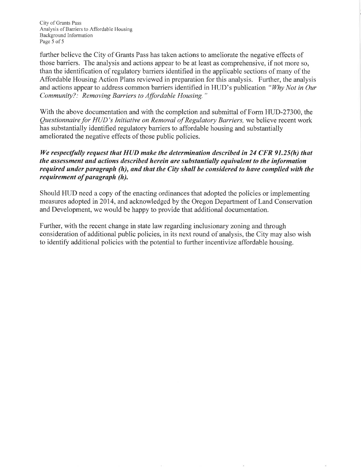City of Grants Pass Analysis of Barriers to Affordable Housing Background Information Page 5 of 5

further believe the City of Grants Pass has taken actions to ameliorate the negative effects of those barriers. The analysis and actions appear to be at least as comprehensive, if not more so, than the identification of regulatory barriers identified in the applicable sections of many of the Affordable Housing Action Plans reviewed in preparation for this analysis. Further, the analysis and actions appear to address common barriers identified in HUD's publication "Why Not in Our Community?: Removing Barriers to Affordable Housing."

With the above documentation and with the completion and submittal of Form HUD-27300, the Questionnaire for HUD's Initiative on Removal of Regulatory Barriers, we believe recent work has substantially identified regulatory barriers to affordable housing and substantially ameliorated the negative effects of those public policies.

### We respectfully request that HUD make the determination described in 24 CFR 91.25(h) that the assessment and actions described herein are substantially equivalent to the information required under paragraph (h), and that the City shall be considered to have complied with the requirement of paragraph (h).

Should HUD need a copy of the enacting ordinances that adopted the policies or implementing measures adopted in 2014, and acknowledged by the Oregon Department of Land Conservation and Development, we would be happy to provide that additional documentation.

Further, with the recent change in state law regarding inclusionary zoning and through consideration of additional public policies, in its next round of analysis, the City may also wish to identify additional policies with the potential to further incentivize affordable housing.